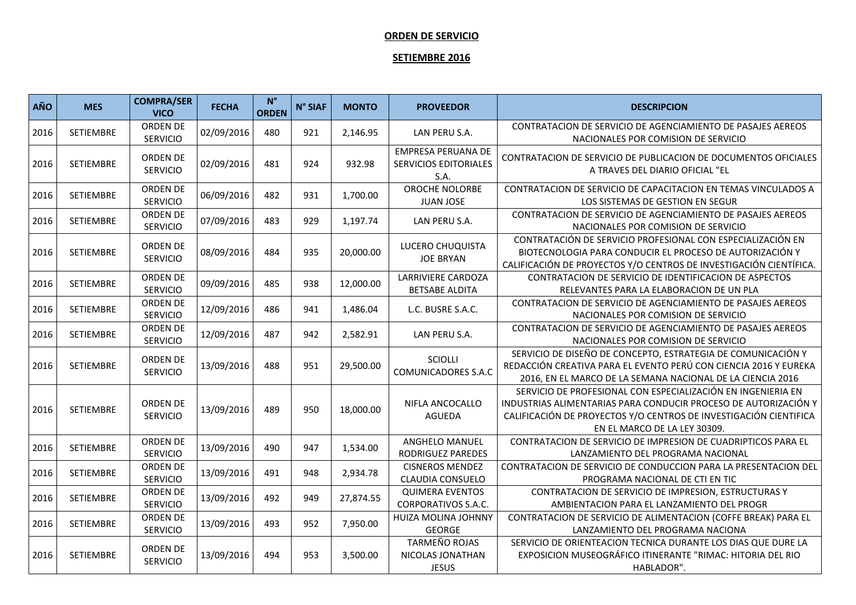## **ORDEN DE SERVICIO**

## **SETIEMBRE 2016**

| AÑO  | <b>MES</b>       | <b>COMPRA/SER</b><br><b>VICO</b>   | <b>FECHA</b> | $N^{\circ}$<br><b>ORDEN</b> | N° SIAF | <b>MONTO</b> | <b>PROVEEDOR</b>                                                  | <b>DESCRIPCION</b>                                                                                                                                                                                                                   |
|------|------------------|------------------------------------|--------------|-----------------------------|---------|--------------|-------------------------------------------------------------------|--------------------------------------------------------------------------------------------------------------------------------------------------------------------------------------------------------------------------------------|
| 2016 | SETIEMBRE        | ORDEN DE<br>SERVICIO               | 02/09/2016   | 480                         | 921     | 2,146.95     | LAN PERU S.A.                                                     | CONTRATACION DE SERVICIO DE AGENCIAMIENTO DE PASAJES AEREOS<br>NACIONALES POR COMISION DE SERVICIO                                                                                                                                   |
| 2016 | SETIEMBRE        | ORDEN DE<br><b>SERVICIO</b>        | 02/09/2016   | 481                         | 924     | 932.98       | <b>EMPRESA PERUANA DE</b><br><b>SERVICIOS EDITORIALES</b><br>S.A. | CONTRATACION DE SERVICIO DE PUBLICACION DE DOCUMENTOS OFICIALES<br>A TRAVES DEL DIARIO OFICIAL "EL                                                                                                                                   |
| 2016 | SETIEMBRE        | ORDEN DE<br><b>SERVICIO</b>        | 06/09/2016   | 482                         | 931     | 1,700.00     | OROCHE NOLORBE<br><b>JUAN JOSE</b>                                | CONTRATACION DE SERVICIO DE CAPACITACION EN TEMAS VINCULADOS A<br>LOS SISTEMAS DE GESTION EN SEGUR                                                                                                                                   |
| 2016 | SETIEMBRE        | ORDEN DE<br>SERVICIO               | 07/09/2016   | 483                         | 929     | 1,197.74     | LAN PERU S.A.                                                     | CONTRATACION DE SERVICIO DE AGENCIAMIENTO DE PASAJES AEREOS<br>NACIONALES POR COMISION DE SERVICIO                                                                                                                                   |
| 2016 | SETIEMBRE        | ORDEN DE<br><b>SERVICIO</b>        | 08/09/2016   | 484                         | 935     | 20,000.00    | LUCERO CHUQUISTA<br><b>JOE BRYAN</b>                              | CONTRATACIÓN DE SERVICIO PROFESIONAL CON ESPECIALIZACIÓN EN<br>BIOTECNOLOGIA PARA CONDUCIR EL PROCESO DE AUTORIZACIÓN Y<br>CALIFICACIÓN DE PROYECTOS Y/O CENTROS DE INVESTIGACIÓN CIENTÍFICA.                                        |
| 2016 | SETIEMBRE        | <b>ORDEN DE</b><br>SERVICIO        | 09/09/2016   | 485                         | 938     | 12,000.00    | <b>LARRIVIERE CARDOZA</b><br><b>BETSABE ALDITA</b>                | CONTRATACION DE SERVICIO DE IDENTIFICACION DE ASPECTOS<br>RELEVANTES PARA LA ELABORACION DE UN PLA                                                                                                                                   |
| 2016 | SETIEMBRE        | ORDEN DE<br><b>SERVICIO</b>        | 12/09/2016   | 486                         | 941     | 1,486.04     | L.C. BUSRE S.A.C.                                                 | CONTRATACION DE SERVICIO DE AGENCIAMIENTO DE PASAJES AEREOS<br>NACIONALES POR COMISION DE SERVICIO                                                                                                                                   |
| 2016 | SETIEMBRE        | <b>ORDEN DE</b><br><b>SERVICIO</b> | 12/09/2016   | 487                         | 942     | 2,582.91     | LAN PERU S.A.                                                     | CONTRATACION DE SERVICIO DE AGENCIAMIENTO DE PASAJES AEREOS<br>NACIONALES POR COMISION DE SERVICIO                                                                                                                                   |
| 2016 | <b>SETIEMBRE</b> | <b>ORDEN DE</b><br><b>SERVICIO</b> | 13/09/2016   | 488                         | 951     | 29,500.00    | SCIOLLI<br><b>COMUNICADORES S.A.C</b>                             | SERVICIO DE DISEÑO DE CONCEPTO, ESTRATEGIA DE COMUNICACIÓN Y<br>REDACCIÓN CREATIVA PARA EL EVENTO PERÚ CON CIENCIA 2016 Y EUREKA<br>2016, EN EL MARCO DE LA SEMANA NACIONAL DE LA CIENCIA 2016                                       |
| 2016 | SETIEMBRE        | <b>ORDEN DE</b><br><b>SERVICIO</b> | 13/09/2016   | 489                         | 950     | 18,000.00    | NIFLA ANCOCALLO<br><b>AGUEDA</b>                                  | SERVICIO DE PROFESIONAL CON ESPECIALIZACIÓN EN INGENIERIA EN<br>INDUSTRIAS ALIMENTARIAS PARA CONDUCIR PROCESO DE AUTORIZACIÓN Y<br>CALIFICACIÓN DE PROYECTOS Y/O CENTROS DE INVESTIGACIÓN CIENTIFICA<br>EN EL MARCO DE LA LEY 30309. |
| 2016 | SETIEMBRE        | ORDEN DE<br><b>SERVICIO</b>        | 13/09/2016   | 490                         | 947     | 1,534.00     | <b>ANGHELO MANUEL</b><br><b>RODRIGUEZ PAREDES</b>                 | CONTRATACION DE SERVICIO DE IMPRESION DE CUADRIPTICOS PARA EL<br>LANZAMIENTO DEL PROGRAMA NACIONAL                                                                                                                                   |
| 2016 | <b>SETIEMBRE</b> | ORDEN DE<br><b>SERVICIO</b>        | 13/09/2016   | 491                         | 948     | 2,934.78     | <b>CISNEROS MENDEZ</b><br><b>CLAUDIA CONSUELO</b>                 | CONTRATACION DE SERVICIO DE CONDUCCION PARA LA PRESENTACION DEL<br>PROGRAMA NACIONAL DE CTI EN TIC                                                                                                                                   |
| 2016 | SETIEMBRE        | ORDEN DE<br><b>SERVICIO</b>        | 13/09/2016   | 492                         | 949     | 27,874.55    | <b>QUIMERA EVENTOS</b><br><b>CORPORATIVOS S.A.C.</b>              | CONTRATACION DE SERVICIO DE IMPRESION, ESTRUCTURAS Y<br>AMBIENTACION PARA EL LANZAMIENTO DEL PROGR                                                                                                                                   |
| 2016 | SETIEMBRE        | ORDEN DE<br>SERVICIO               | 13/09/2016   | 493                         | 952     | 7,950.00     | HUIZA MOLINA JOHNNY<br><b>GEORGE</b>                              | CONTRATACION DE SERVICIO DE ALIMENTACION (COFFE BREAK) PARA EL<br>LANZAMIENTO DEL PROGRAMA NACIONA                                                                                                                                   |
| 2016 | SETIEMBRE        | ORDEN DE<br><b>SERVICIO</b>        | 13/09/2016   | 494                         | 953     | 3,500.00     | <b>TARMEÑO ROJAS</b><br>NICOLAS JONATHAN<br><b>JESUS</b>          | SERVICIO DE ORIENTEACION TECNICA DURANTE LOS DIAS QUE DURE LA<br>EXPOSICION MUSEOGRÁFICO ITINERANTE "RIMAC: HITORIA DEL RIO<br>HABLADOR".                                                                                            |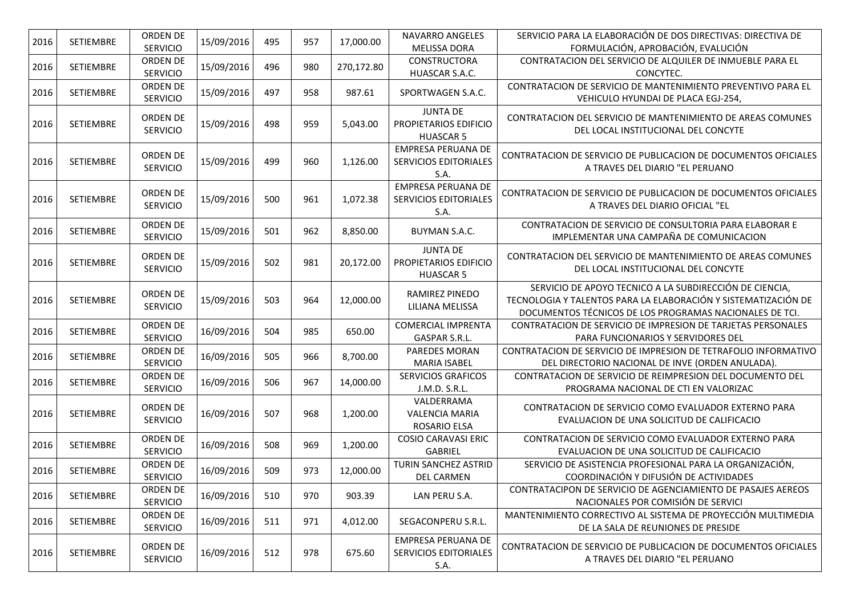| 2016 | SETIEMBRE        | ORDEN DE                           | 15/09/2016 | 495 | 957 | 17,000.00  | <b>NAVARRO ANGELES</b>                                            | SERVICIO PARA LA ELABORACIÓN DE DOS DIRECTIVAS: DIRECTIVA DE                                                                                                                         |
|------|------------------|------------------------------------|------------|-----|-----|------------|-------------------------------------------------------------------|--------------------------------------------------------------------------------------------------------------------------------------------------------------------------------------|
|      |                  | SERVICIO                           |            |     |     |            | <b>MELISSA DORA</b>                                               | FORMULACIÓN, APROBACIÓN, EVALUCIÓN                                                                                                                                                   |
| 2016 | <b>SETIEMBRE</b> | ORDEN DE<br><b>SERVICIO</b>        | 15/09/2016 | 496 | 980 | 270,172.80 | <b>CONSTRUCTORA</b><br>HUASCAR S.A.C.                             | CONTRATACION DEL SERVICIO DE ALQUILER DE INMUEBLE PARA EL<br>CONCYTEC.                                                                                                               |
| 2016 | SETIEMBRE        | ORDEN DE<br>SERVICIO               | 15/09/2016 | 497 | 958 | 987.61     | SPORTWAGEN S.A.C.                                                 | CONTRATACION DE SERVICIO DE MANTENIMIENTO PREVENTIVO PARA EL<br>VEHICULO HYUNDAI DE PLACA EGJ-254,                                                                                   |
| 2016 | SETIEMBRE        | <b>ORDEN DE</b><br><b>SERVICIO</b> | 15/09/2016 | 498 | 959 | 5,043.00   | <b>JUNTA DE</b><br>PROPIETARIOS EDIFICIO<br><b>HUASCAR 5</b>      | CONTRATACION DEL SERVICIO DE MANTENIMIENTO DE AREAS COMUNES<br>DEL LOCAL INSTITUCIONAL DEL CONCYTE                                                                                   |
| 2016 | SETIEMBRE        | ORDEN DE<br><b>SERVICIO</b>        | 15/09/2016 | 499 | 960 | 1,126.00   | <b>EMPRESA PERUANA DE</b><br><b>SERVICIOS EDITORIALES</b><br>S.A. | CONTRATACION DE SERVICIO DE PUBLICACION DE DOCUMENTOS OFICIALES<br>A TRAVES DEL DIARIO "EL PERUANO                                                                                   |
| 2016 | SETIEMBRE        | ORDEN DE<br><b>SERVICIO</b>        | 15/09/2016 | 500 | 961 | 1,072.38   | <b>EMPRESA PERUANA DE</b><br>SERVICIOS EDITORIALES<br>S.A.        | CONTRATACION DE SERVICIO DE PUBLICACION DE DOCUMENTOS OFICIALES<br>A TRAVES DEL DIARIO OFICIAL "EL                                                                                   |
| 2016 | SETIEMBRE        | ORDEN DE<br>SERVICIO               | 15/09/2016 | 501 | 962 | 8,850.00   | <b>BUYMAN S.A.C.</b>                                              | CONTRATACION DE SERVICIO DE CONSULTORIA PARA ELABORAR E<br>IMPLEMENTAR UNA CAMPAÑA DE COMUNICACION                                                                                   |
| 2016 | SETIEMBRE        | <b>ORDEN DE</b><br><b>SERVICIO</b> | 15/09/2016 | 502 | 981 | 20,172.00  | <b>JUNTA DE</b><br>PROPIETARIOS EDIFICIO<br><b>HUASCAR 5</b>      | CONTRATACION DEL SERVICIO DE MANTENIMIENTO DE AREAS COMUNES<br>DEL LOCAL INSTITUCIONAL DEL CONCYTE                                                                                   |
| 2016 | <b>SETIEMBRE</b> | ORDEN DE<br><b>SERVICIO</b>        | 15/09/2016 | 503 | 964 | 12,000.00  | RAMIREZ PINEDO<br>LILIANA MELISSA                                 | SERVICIO DE APOYO TECNICO A LA SUBDIRECCIÓN DE CIENCIA,<br>TECNOLOGIA Y TALENTOS PARA LA ELABORACIÓN Y SISTEMATIZACIÓN DE<br>DOCUMENTOS TÉCNICOS DE LOS PROGRAMAS NACIONALES DE TCI. |
| 2016 | SETIEMBRE        | <b>ORDEN DE</b><br><b>SERVICIO</b> | 16/09/2016 | 504 | 985 | 650.00     | <b>COMERCIAL IMPRENTA</b><br>GASPAR S.R.L.                        | CONTRATACION DE SERVICIO DE IMPRESION DE TARJETAS PERSONALES<br>PARA FUNCIONARIOS Y SERVIDORES DEL                                                                                   |
| 2016 | SETIEMBRE        | ORDEN DE<br>SERVICIO               | 16/09/2016 | 505 | 966 | 8,700.00   | PAREDES MORAN<br><b>MARIA ISABEL</b>                              | CONTRATACION DE SERVICIO DE IMPRESION DE TETRAFOLIO INFORMATIVO<br>DEL DIRECTORIO NACIONAL DE INVE (ORDEN ANULADA).                                                                  |
| 2016 | SETIEMBRE        | ORDEN DE<br>SERVICIO               | 16/09/2016 | 506 | 967 | 14,000.00  | <b>SERVICIOS GRAFICOS</b><br>J.M.D. S.R.L.                        | CONTRATACION DE SERVICIO DE REIMPRESION DEL DOCUMENTO DEL<br>PROGRAMA NACIONAL DE CTI EN VALORIZAC                                                                                   |
| 2016 | SETIEMBRE        | ORDEN DE<br><b>SERVICIO</b>        | 16/09/2016 | 507 | 968 | 1,200.00   | VALDERRAMA<br><b>VALENCIA MARIA</b><br>ROSARIO ELSA               | CONTRATACION DE SERVICIO COMO EVALUADOR EXTERNO PARA<br>EVALUACION DE UNA SOLICITUD DE CALIFICACIO                                                                                   |
| 2016 | SETIEMBRE        | ORDEN DE<br>SERVICIO               | 16/09/2016 | 508 | 969 | 1,200.00   | <b>COSIO CARAVASI ERIC</b><br>GABRIEL                             | CONTRATACION DE SERVICIO COMO EVALUADOR EXTERNO PARA<br>EVALUACION DE UNA SOLICITUD DE CALIFICACIO                                                                                   |
| 2016 | SETIEMBRE        | ORDEN DE<br>SERVICIO               | 16/09/2016 | 509 | 973 | 12,000.00  | TURIN SANCHEZ ASTRID<br><b>DEL CARMEN</b>                         | SERVICIO DE ASISTENCIA PROFESIONAL PARA LA ORGANIZACIÓN,<br>COORDINACIÓN Y DIFUSIÓN DE ACTIVIDADES                                                                                   |
| 2016 | SETIEMBRE        | ORDEN DE<br><b>SERVICIO</b>        | 16/09/2016 | 510 | 970 | 903.39     | LAN PERU S.A.                                                     | CONTRATACIPON DE SERVICIO DE AGENCIAMIENTO DE PASAJES AEREOS<br>NACIONALES POR COMISIÓN DE SERVICI                                                                                   |
| 2016 | SETIEMBRE        | ORDEN DE<br><b>SERVICIO</b>        | 16/09/2016 | 511 | 971 | 4,012.00   | SEGACONPERU S.R.L.                                                | MANTENIMIENTO CORRECTIVO AL SISTEMA DE PROYECCIÓN MULTIMEDIA<br>DE LA SALA DE REUNIONES DE PRESIDE                                                                                   |
| 2016 | SETIEMBRE        | ORDEN DE<br><b>SERVICIO</b>        | 16/09/2016 | 512 | 978 | 675.60     | EMPRESA PERUANA DE<br><b>SERVICIOS EDITORIALES</b><br>S.A.        | CONTRATACION DE SERVICIO DE PUBLICACION DE DOCUMENTOS OFICIALES<br>A TRAVES DEL DIARIO "EL PERUANO                                                                                   |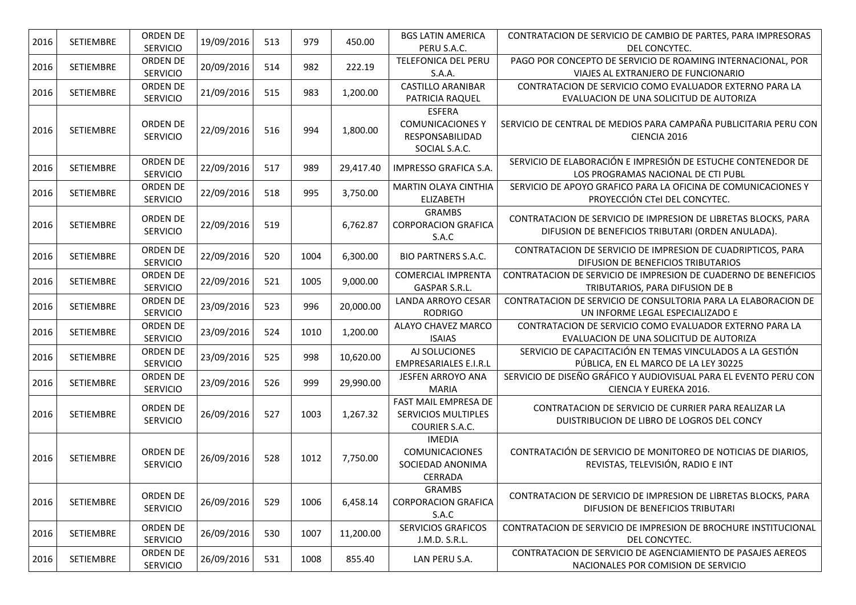| 2016 | SETIEMBRE        | <b>ORDEN DE</b><br>SERVICIO        | 19/09/2016 | 513 | 979  | 450.00    | <b>BGS LATIN AMERICA</b><br>PERU S.A.C.                                      | CONTRATACION DE SERVICIO DE CAMBIO DE PARTES, PARA IMPRESORAS<br>DEL CONCYTEC.                                      |
|------|------------------|------------------------------------|------------|-----|------|-----------|------------------------------------------------------------------------------|---------------------------------------------------------------------------------------------------------------------|
| 2016 | SETIEMBRE        | ORDEN DE<br><b>SERVICIO</b>        | 20/09/2016 | 514 | 982  | 222.19    | TELEFONICA DEL PERU<br>S.A.A.                                                | PAGO POR CONCEPTO DE SERVICIO DE ROAMING INTERNACIONAL, POR<br>VIAJES AL EXTRANJERO DE FUNCIONARIO                  |
| 2016 | <b>SETIEMBRE</b> | ORDEN DE<br><b>SERVICIO</b>        | 21/09/2016 | 515 | 983  | 1,200.00  | <b>CASTILLO ARANIBAR</b><br>PATRICIA RAQUEL                                  | CONTRATACION DE SERVICIO COMO EVALUADOR EXTERNO PARA LA<br>EVALUACION DE UNA SOLICITUD DE AUTORIZA                  |
| 2016 | SETIEMBRE        | ORDEN DE<br><b>SERVICIO</b>        | 22/09/2016 | 516 | 994  | 1,800.00  | <b>ESFERA</b><br><b>COMUNICACIONES Y</b><br>RESPONSABILIDAD<br>SOCIAL S.A.C. | SERVICIO DE CENTRAL DE MEDIOS PARA CAMPAÑA PUBLICITARIA PERU CON<br>CIENCIA 2016                                    |
| 2016 | SETIEMBRE        | ORDEN DE<br>SERVICIO               | 22/09/2016 | 517 | 989  | 29,417.40 | IMPRESSO GRAFICA S.A.                                                        | SERVICIO DE ELABORACIÓN E IMPRESIÓN DE ESTUCHE CONTENEDOR DE<br>LOS PROGRAMAS NACIONAL DE CTI PUBL                  |
| 2016 | SETIEMBRE        | ORDEN DE<br><b>SERVICIO</b>        | 22/09/2016 | 518 | 995  | 3,750.00  | <b>MARTIN OLAYA CINTHIA</b><br><b>ELIZABETH</b>                              | SERVICIO DE APOYO GRAFICO PARA LA OFICINA DE COMUNICACIONES Y<br>PROYECCIÓN CTel DEL CONCYTEC.                      |
| 2016 | <b>SETIEMBRE</b> | ORDEN DE<br>SERVICIO               | 22/09/2016 | 519 |      | 6,762.87  | <b>GRAMBS</b><br><b>CORPORACION GRAFICA</b><br>S.A.C                         | CONTRATACION DE SERVICIO DE IMPRESION DE LIBRETAS BLOCKS, PARA<br>DIFUSION DE BENEFICIOS TRIBUTARI (ORDEN ANULADA). |
| 2016 | SETIEMBRE        | ORDEN DE<br><b>SERVICIO</b>        | 22/09/2016 | 520 | 1004 | 6,300.00  | <b>BIO PARTNERS S.A.C.</b>                                                   | CONTRATACION DE SERVICIO DE IMPRESION DE CUADRIPTICOS, PARA<br>DIFUSION DE BENEFICIOS TRIBUTARIOS                   |
| 2016 | <b>SETIEMBRE</b> | ORDEN DE<br><b>SERVICIO</b>        | 22/09/2016 | 521 | 1005 | 9,000.00  | <b>COMERCIAL IMPRENTA</b><br>GASPAR S.R.L.                                   | CONTRATACION DE SERVICIO DE IMPRESION DE CUADERNO DE BENEFICIOS<br>TRIBUTARIOS, PARA DIFUSION DE B                  |
| 2016 | SETIEMBRE        | <b>ORDEN DE</b><br><b>SERVICIO</b> | 23/09/2016 | 523 | 996  | 20,000.00 | LANDA ARROYO CESAR<br><b>RODRIGO</b>                                         | CONTRATACION DE SERVICIO DE CONSULTORIA PARA LA ELABORACION DE<br>UN INFORME LEGAL ESPECIALIZADO E                  |
| 2016 | SETIEMBRE        | ORDEN DE<br><b>SERVICIO</b>        | 23/09/2016 | 524 | 1010 | 1,200.00  | ALAYO CHAVEZ MARCO<br><b>ISAIAS</b>                                          | CONTRATACION DE SERVICIO COMO EVALUADOR EXTERNO PARA LA<br>EVALUACION DE UNA SOLICITUD DE AUTORIZA                  |
| 2016 | SETIEMBRE        | ORDEN DE<br>SERVICIO               | 23/09/2016 | 525 | 998  | 10,620.00 | AJ SOLUCIONES<br><b>EMPRESARIALES E.I.R.L</b>                                | SERVICIO DE CAPACITACIÓN EN TEMAS VINCULADOS A LA GESTIÓN<br>PÚBLICA, EN EL MARCO DE LA LEY 30225                   |
| 2016 | SETIEMBRE        | <b>ORDEN DE</b><br><b>SERVICIO</b> | 23/09/2016 | 526 | 999  | 29,990.00 | <b>JESFEN ARROYO ANA</b><br><b>MARIA</b>                                     | SERVICIO DE DISEÑO GRÁFICO Y AUDIOVISUAL PARA EL EVENTO PERU CON<br>CIENCIA Y EUREKA 2016.                          |
| 2016 | SETIEMBRE        | ORDEN DE<br>SERVICIO               | 26/09/2016 | 527 | 1003 | 1,267.32  | FAST MAIL EMPRESA DE<br>SERVICIOS MULTIPLES<br>COURIER S.A.C.                | CONTRATACION DE SERVICIO DE CURRIER PARA REALIZAR LA<br>DUISTRIBUCION DE LIBRO DE LOGROS DEL CONCY                  |
| 2016 | <b>SETIEMBRE</b> | <b>ORDEN DE</b><br><b>SERVICIO</b> | 26/09/2016 | 528 | 1012 | 7,750.00  | <b>IMEDIA</b><br><b>COMUNICACIONES</b><br>SOCIEDAD ANONIMA<br>CERRADA        | CONTRATACIÓN DE SERVICIO DE MONITOREO DE NOTICIAS DE DIARIOS,<br>REVISTAS, TELEVISIÓN, RADIO E INT                  |
| 2016 | SETIEMBRE        | ORDEN DE<br><b>SERVICIO</b>        | 26/09/2016 | 529 | 1006 | 6,458.14  | <b>GRAMBS</b><br><b>CORPORACION GRAFICA</b><br>S.A.C                         | CONTRATACION DE SERVICIO DE IMPRESION DE LIBRETAS BLOCKS, PARA<br>DIFUSION DE BENEFICIOS TRIBUTARI                  |
| 2016 | SETIEMBRE        | ORDEN DE<br>SERVICIO               | 26/09/2016 | 530 | 1007 | 11,200.00 | <b>SERVICIOS GRAFICOS</b><br>J.M.D. S.R.L.                                   | CONTRATACION DE SERVICIO DE IMPRESION DE BROCHURE INSTITUCIONAL<br>DEL CONCYTEC.                                    |
| 2016 | SETIEMBRE        | ORDEN DE<br><b>SERVICIO</b>        | 26/09/2016 | 531 | 1008 | 855.40    | LAN PERU S.A.                                                                | CONTRATACION DE SERVICIO DE AGENCIAMIENTO DE PASAJES AEREOS<br>NACIONALES POR COMISION DE SERVICIO                  |